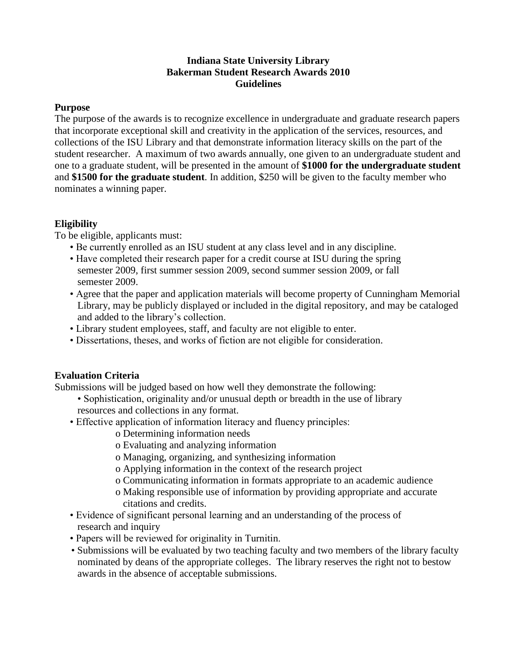#### **Indiana State University Library Bakerman Student Research Awards 2010 Guidelines**

#### **Purpose**

The purpose of the awards is to recognize excellence in undergraduate and graduate research papers that incorporate exceptional skill and creativity in the application of the services, resources, and collections of the ISU Library and that demonstrate information literacy skills on the part of the student researcher. A maximum of two awards annually, one given to an undergraduate student and one to a graduate student, will be presented in the amount of **\$1000 for the undergraduate student** and **\$1500 for the graduate student**. In addition, \$250 will be given to the faculty member who nominates a winning paper.

## **Eligibility**

To be eligible, applicants must:

- Be currently enrolled as an ISU student at any class level and in any discipline.
- Have completed their research paper for a credit course at ISU during the spring semester 2009, first summer session 2009, second summer session 2009, or fall semester 2009.
- Agree that the paper and application materials will become property of Cunningham Memorial Library, may be publicly displayed or included in the digital repository, and may be cataloged and added to the library's collection.
- Library student employees, staff, and faculty are not eligible to enter.
- Dissertations, theses, and works of fiction are not eligible for consideration.

## **Evaluation Criteria**

Submissions will be judged based on how well they demonstrate the following:

- Sophistication, originality and/or unusual depth or breadth in the use of library resources and collections in any format.
- Effective application of information literacy and fluency principles:
	- o Determining information needs
	- o Evaluating and analyzing information
	- o Managing, organizing, and synthesizing information
	- o Applying information in the context of the research project
	- o Communicating information in formats appropriate to an academic audience
	- o Making responsible use of information by providing appropriate and accurate citations and credits.
- Evidence of significant personal learning and an understanding of the process of research and inquiry
- Papers will be reviewed for originality in Turnitin.
- Submissions will be evaluated by two teaching faculty and two members of the library faculty nominated by deans of the appropriate colleges. The library reserves the right not to bestow awards in the absence of acceptable submissions.